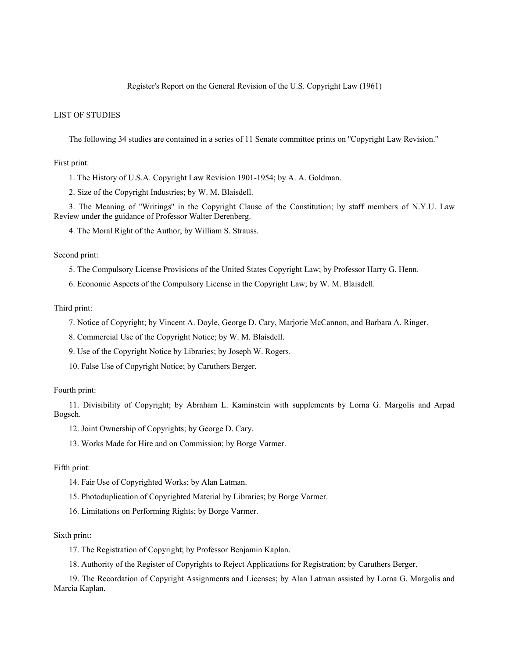## Register's Report on the General Revision of the U.S. Copyright Law (1961)

# LIST OF STUDIES

The following 34 studies are contained in a series of 11 Senate committee prints on ''Copyright Law Revision.''

#### First print:

1. The History of U.S.A. Copyright Law Revision 1901-1954; by A. A. Goldman.

2. Size of the Copyright Industries; by W. M. Blaisdell.

3. The Meaning of ''Writings'' in the Copyright Clause of the Constitution; by staff members of N.Y.U. Law Review under the guidance of Professor Walter Derenberg.

4. The Moral Right of the Author; by William S. Strauss.

Second print:

5. The Compulsory License Provisions of the United States Copyright Law; by Professor Harry G. Henn.

6. Economic Aspects of the Compulsory License in the Copyright Law; by W. M. Blaisdell.

### Third print:

7. Notice of Copyright; by Vincent A. Doyle, George D. Cary, Marjorie McCannon, and Barbara A. Ringer.

8. Commercial Use of the Copyright Notice; by W. M. Blaisdell.

9. Use of the Copyright Notice by Libraries; by Joseph W. Rogers.

10. False Use of Copyright Notice; by Caruthers Berger.

#### Fourth print:

11. Divisibility of Copyright; by Abraham L. Kaminstein with supplements by Lorna G. Margolis and Arpad Bogsch.

12. Joint Ownership of Copyrights; by George D. Cary.

13. Works Made for Hire and on Commission; by Borge Varmer.

### Fifth print:

14. Fair Use of Copyrighted Works; by Alan Latman.

15. Photoduplication of Copyrighted Material by Libraries; by Borge Varmer.

16. Limitations on Performing Rights; by Borge Varmer.

## Sixth print:

17. The Registration of Copyright; by Professor Benjamin Kaplan.

18. Authority of the Register of Copyrights to Reject Applications for Registration; by Caruthers Berger.

19. The Recordation of Copyright Assignments and Licenses; by Alan Latman assisted by Lorna G. Margolis and Marcia Kaplan.